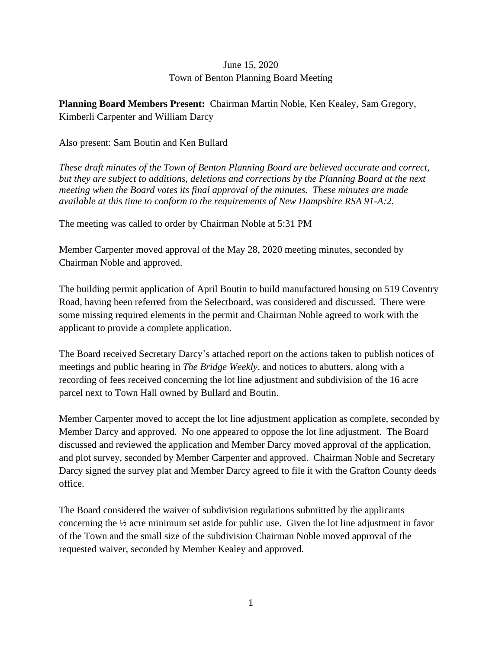## June 15, 2020 Town of Benton Planning Board Meeting

**Planning Board Members Present:** Chairman Martin Noble, Ken Kealey, Sam Gregory, Kimberli Carpenter and William Darcy

## Also present: Sam Boutin and Ken Bullard

*These draft minutes of the Town of Benton Planning Board are believed accurate and correct, but they are subject to additions, deletions and corrections by the Planning Board at the next meeting when the Board votes its final approval of the minutes. These minutes are made available at this time to conform to the requirements of New Hampshire RSA 91-A:2.*

The meeting was called to order by Chairman Noble at 5:31 PM

Member Carpenter moved approval of the May 28, 2020 meeting minutes, seconded by Chairman Noble and approved.

The building permit application of April Boutin to build manufactured housing on 519 Coventry Road, having been referred from the Selectboard, was considered and discussed. There were some missing required elements in the permit and Chairman Noble agreed to work with the applicant to provide a complete application.

The Board received Secretary Darcy's attached report on the actions taken to publish notices of meetings and public hearing in *The Bridge Weekly*, and notices to abutters, along with a recording of fees received concerning the lot line adjustment and subdivision of the 16 acre parcel next to Town Hall owned by Bullard and Boutin.

Member Carpenter moved to accept the lot line adjustment application as complete, seconded by Member Darcy and approved. No one appeared to oppose the lot line adjustment. The Board discussed and reviewed the application and Member Darcy moved approval of the application, and plot survey, seconded by Member Carpenter and approved. Chairman Noble and Secretary Darcy signed the survey plat and Member Darcy agreed to file it with the Grafton County deeds office.

The Board considered the waiver of subdivision regulations submitted by the applicants concerning the ½ acre minimum set aside for public use. Given the lot line adjustment in favor of the Town and the small size of the subdivision Chairman Noble moved approval of the requested waiver, seconded by Member Kealey and approved.